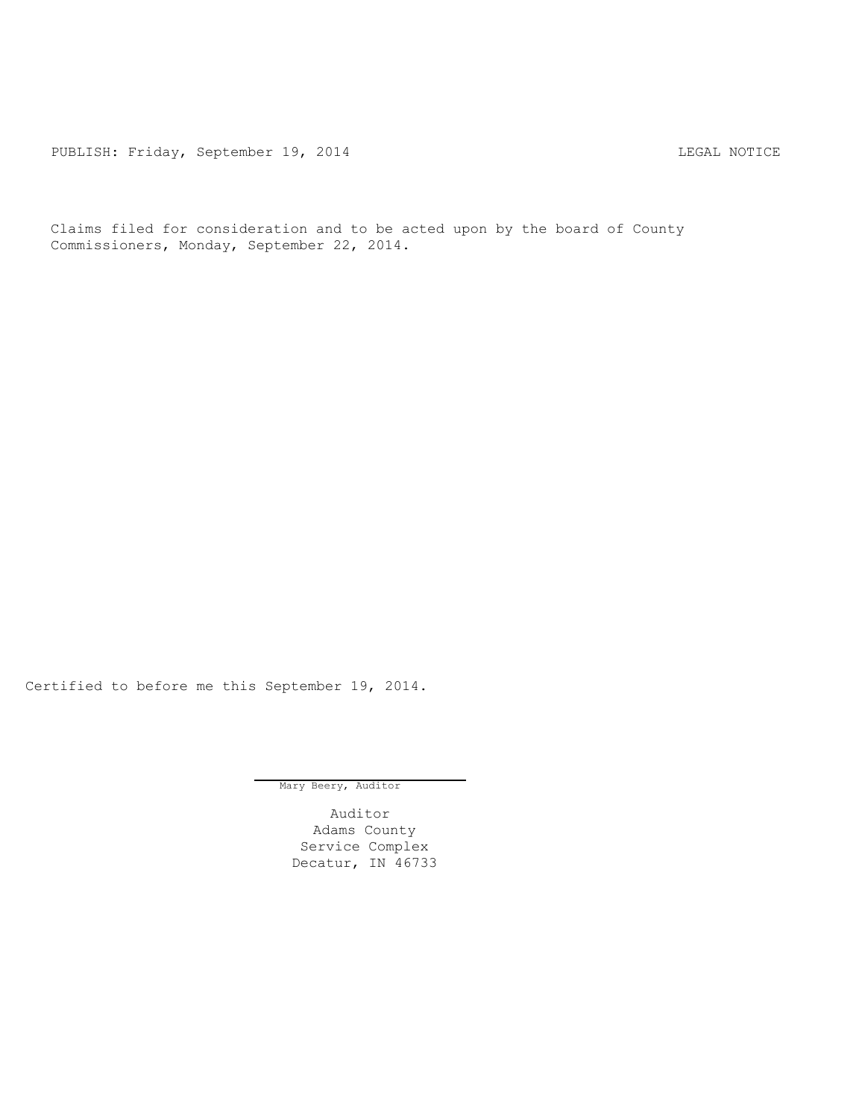PUBLISH: Friday, September 19, 2014 CHA CHARL MOTICE

Claims filed for consideration and to be acted upon by the board of County Commissioners, Monday, September 22, 2014.

Certified to before me this September 19, 2014.

Mary Beery, Auditor

Auditor Adams County Service Complex Decatur, IN 46733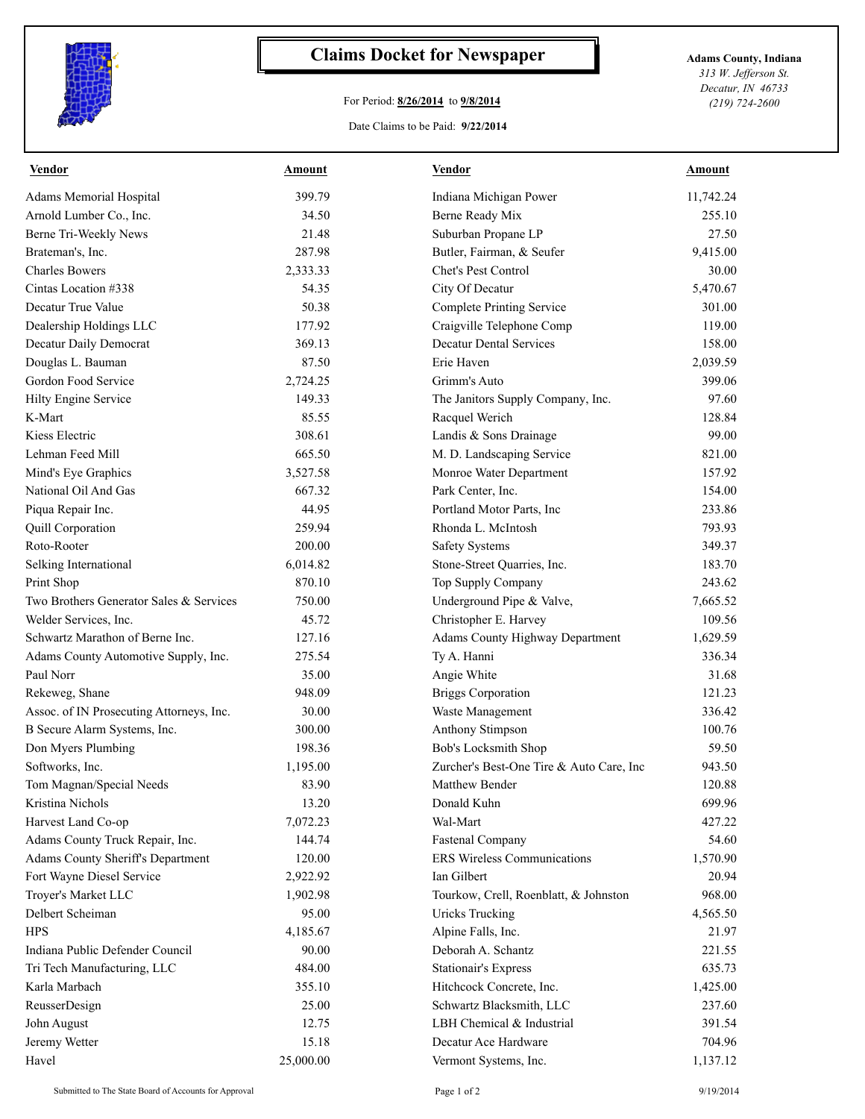

## **Claims Docket for Newspaper Adams County, Indiana**

## For Period: **8/26/2014** to **9/8/2014**

Date Claims to be Paid: **9/22/2014**

*313 W. Jefferson St. Decatur, IN 46733 (219) 724-2600*

| <b>Vendor</b>                            | <b>Amount</b> | <b>Vendor</b>                            | <b>Amount</b> |
|------------------------------------------|---------------|------------------------------------------|---------------|
| <b>Adams Memorial Hospital</b>           | 399.79        | Indiana Michigan Power                   | 11,742.24     |
| Arnold Lumber Co., Inc.                  | 34.50         | Berne Ready Mix                          | 255.10        |
| Berne Tri-Weekly News                    | 21.48         | Suburban Propane LP                      | 27.50         |
| Brateman's, Inc.                         | 287.98        | Butler, Fairman, & Seufer                | 9,415.00      |
| <b>Charles Bowers</b>                    | 2,333.33      | Chet's Pest Control                      | 30.00         |
| Cintas Location #338                     | 54.35         | City Of Decatur                          | 5,470.67      |
| Decatur True Value                       | 50.38         | <b>Complete Printing Service</b>         | 301.00        |
| Dealership Holdings LLC                  | 177.92        | Craigville Telephone Comp                | 119.00        |
| Decatur Daily Democrat                   | 369.13        | <b>Decatur Dental Services</b>           | 158.00        |
| Douglas L. Bauman                        | 87.50         | Erie Haven                               | 2,039.59      |
| Gordon Food Service                      | 2,724.25      | Grimm's Auto                             | 399.06        |
| Hilty Engine Service                     | 149.33        | The Janitors Supply Company, Inc.        | 97.60         |
| K-Mart                                   | 85.55         | Racquel Werich                           | 128.84        |
| Kiess Electric                           | 308.61        | Landis & Sons Drainage                   | 99.00         |
| Lehman Feed Mill                         | 665.50        | M. D. Landscaping Service                | 821.00        |
| Mind's Eye Graphics                      | 3,527.58      | Monroe Water Department                  | 157.92        |
| National Oil And Gas                     | 667.32        | Park Center, Inc.                        | 154.00        |
| Piqua Repair Inc.                        | 44.95         | Portland Motor Parts, Inc                | 233.86        |
| Quill Corporation                        | 259.94        | Rhonda L. McIntosh                       | 793.93        |
| Roto-Rooter                              | 200.00        | <b>Safety Systems</b>                    | 349.37        |
| Selking International                    | 6,014.82      | Stone-Street Quarries, Inc.              | 183.70        |
| Print Shop                               | 870.10        | Top Supply Company                       | 243.62        |
| Two Brothers Generator Sales & Services  | 750.00        | Underground Pipe & Valve,                | 7,665.52      |
| Welder Services, Inc.                    | 45.72         | Christopher E. Harvey                    | 109.56        |
| Schwartz Marathon of Berne Inc.          | 127.16        | Adams County Highway Department          | 1,629.59      |
| Adams County Automotive Supply, Inc.     | 275.54        | Ty A. Hanni                              | 336.34        |
| Paul Norr                                | 35.00         | Angie White                              | 31.68         |
| Rekeweg, Shane                           | 948.09        | <b>Briggs Corporation</b>                | 121.23        |
| Assoc. of IN Prosecuting Attorneys, Inc. | 30.00         | Waste Management                         | 336.42        |
| B Secure Alarm Systems, Inc.             | 300.00        | Anthony Stimpson                         | 100.76        |
| Don Myers Plumbing                       | 198.36        | Bob's Locksmith Shop                     | 59.50         |
| Softworks, Inc.                          | 1,195.00      | Zurcher's Best-One Tire & Auto Care, Inc | 943.50        |
| Tom Magnan/Special Needs                 | 83.90         | Matthew Bender                           | 120.88        |
| Kristina Nichols                         | 13.20         | Donald Kuhn                              | 699.96        |
| Harvest Land Co-op                       | 7,072.23      | Wal-Mart                                 | 427.22        |
| Adams County Truck Repair, Inc.          | 144.74        | <b>Fastenal Company</b>                  | 54.60         |
| <b>Adams County Sheriff's Department</b> | 120.00        | <b>ERS Wireless Communications</b>       | 1,570.90      |
| Fort Wayne Diesel Service                | 2,922.92      | Ian Gilbert                              | 20.94         |
| Troyer's Market LLC                      | 1,902.98      | Tourkow, Crell, Roenblatt, & Johnston    | 968.00        |
| Delbert Scheiman                         | 95.00         | <b>Uricks Trucking</b>                   | 4,565.50      |
| <b>HPS</b>                               | 4,185.67      | Alpine Falls, Inc.                       | 21.97         |
| Indiana Public Defender Council          | 90.00         | Deborah A. Schantz                       | 221.55        |
| Tri Tech Manufacturing, LLC              | 484.00        | <b>Stationair's Express</b>              | 635.73        |
| Karla Marbach                            | 355.10        | Hitchcock Concrete, Inc.                 | 1,425.00      |
| ReusserDesign                            | 25.00         | Schwartz Blacksmith, LLC                 | 237.60        |
| John August                              | 12.75         | LBH Chemical & Industrial                | 391.54        |
| Jeremy Wetter                            | 15.18         | Decatur Ace Hardware                     | 704.96        |
| Havel                                    | 25,000.00     | Vermont Systems, Inc.                    | 1,137.12      |